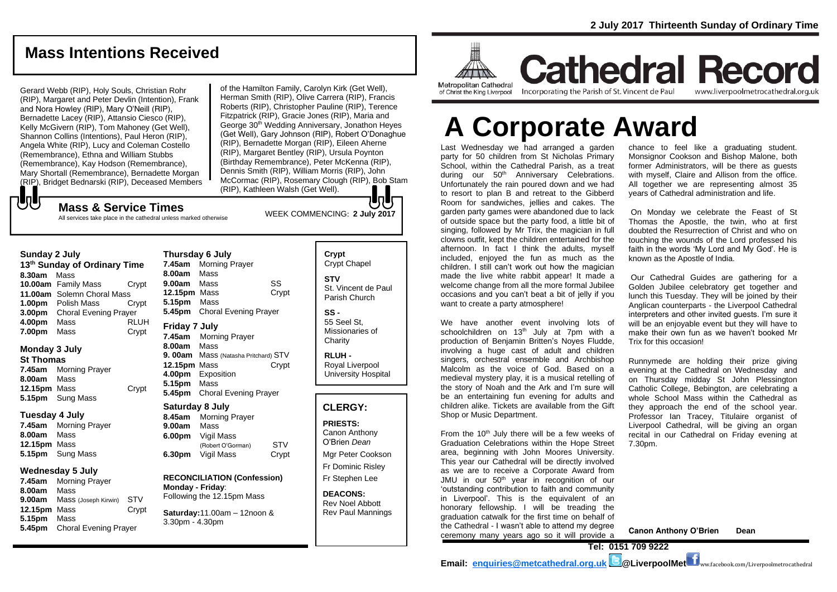## **Mass Intentions Received**

Gerard Webb (RIP), Holy Souls, Christian Rohr (RIP), Margaret and Peter Devlin (Intention), Frank and Nora Howley (RIP), Mary O'Neill (RIP), Bernadette Lacey (RIP), Attansio Ciesco (RIP), Kelly McGivern (RIP), Tom Mahoney (Get Well), Shannon Collins (Intentions), Paul Heron (RIP), Angela White (RIP), Lucy and Coleman Costello (Remembrance), Ethna and William Stubbs (Remembrance), Kay Hodson (Remembrance), Mary Shortall (Remembrance), Bernadette Morgan (RIP), Bridget Bednarski (RIP), Deceased Members

WEEK COMMENCING: **2 July <sup>2017</sup> Mass & Service Times** of the Hamilton Family, Carolyn Kirk (Get Well), Herman Smith (RIP), Olive Carrera (RIP), Francis Roberts (RIP), Christopher Pauline (RIP), Terence Fitzpatrick (RIP), Gracie Jones (RIP), Maria and George 30<sup>th</sup> Wedding Anniversary, Jonathon Heyes (Get Well), Gary Johnson (RIP), Robert O'Donaghue (RIP), Bernadette Morgan (RIP), Eileen Aherne (RIP), Margaret Bentley (RIP), Ursula Poynton (Birthday Remembrance), Peter McKenna (RIP), Dennis Smith (RIP), William Morris (RIP), John McCormac (RIP), Rosemary Clough (RIP), Bob Stam (RIP), Kathleen Walsh (Get Well).

# もし

All services take place in the cathedral unless marked otherwise

#### **Sunday 2 July**

**13 th Sunday of Ordinary Time 8.30am** Mass **10.00am** Family Mass Crypt **11.00am** Solemn Choral Mass **1.00pm** Polish Mass Crypt **3.00pm** Choral Evening Prayer **4.00pm** Mass RLUH **7.00pm** Mass Crypt

#### **Monday 3 July**

**St Thomas 7.45am** Morning Prayer **8.00am** Mass

**12.15pm** Mass Crypt **5.15pm** Sung Mass **Tuesday 4 July**

**7.45am** Morning Prayer **8.00am** Mass **12.15pm** Mass **5.15pm** Sung Mass

#### **Wednesday 5 July**

**7.45am** Morning Prayer **8.00am** Mass **9.00am** Mass (Joseph Kirwin) STV **12.15pm** Mass Crypt **5.15pm** Mass **5.45pm** Choral Evening Prayer

**Thursday 6 July 7.45am** Morning Prayer **8.00am** Mass **9.00am** Mass SS **12.15pm** Mass Crypt **5.15pm** Mass **5.45pm** Choral Evening Prayer **Friday 7 July 7.45am** Morning Prayer **8.00am** Mass **9. 00am** Mass (Natasha Pritchard) STV **12.15pm** Mass Crypt **4.00pm** Exposition **5.15pm** Mass **5.45pm** Choral Evening Prayer **Saturday 8 July**

**8.45am** Morning Prayer **9.00am** Mass **6.00pm** Vigil Mass (Robert O'Gorman) STV **6.30pm** Vigil Mass Crypt

**RECONCILIATION (Confession) Monday - Friday**: Following the 12.15pm Mass

**Saturday:**11.00am – 12noon & 3.30pm - 4.30pm

### **Crypt**  Crypt Chapel **STV** St. Vincent de Paul Parish Church

**SS -** 55 Seel St, Missionaries of **Charity** 

**RLUH -** Royal Liverpool University Hospital

### **CLERGY:**

**PRIESTS:** Canon Anthony O'Brien *Dean* Mgr Peter Cookson Fr Dominic Risley Fr Stephen Lee

**DEACONS:** Rev Noel Abbott Rev Paul Mannings



**Cathedral Record** Incorporating the Parish of St. Vincent de Paul www.liverpoolmetrocathedral.org.uk

**A Corporate Award**

Last Wednesday we had arranged a garden party for 50 children from St Nicholas Primary School, within the Cathedral Parish, as a treat during our 50<sup>th</sup> Anniversary Celebrations. Unfortunately the rain poured down and we had to resort to plan B and retreat to the Gibberd Room for sandwiches, jellies and cakes. The garden party games were abandoned due to lack of outside space but the party food, a little bit of singing, followed by Mr Trix, the magician in full clowns outfit, kept the children entertained for the afternoon. In fact I think the adults, myself included, enjoyed the fun as much as the children. I still can't work out how the magician made the live white rabbit appear! It made a welcome change from all the more formal Jubilee occasions and you can't beat a bit of jelly if you want to create a party atmosphere!

We have another event involving lots of schoolchildren on  $13<sup>th</sup>$  July at 7pm with a production of Benjamin Britten's Noyes Fludde, involving a huge cast of adult and children singers, orchestral ensemble and Archbishop Malcolm as the voice of God. Based on a medieval mystery play, it is a musical retelling of the story of Noah and the Ark and I'm sure will be an entertaining fun evening for adults and children alike. Tickets are available from the Gift Shop or Music Department.

From the 10<sup>th</sup> July there will be a few weeks of Graduation Celebrations within the Hope Street area, beginning with John Moores University. This year our Cathedral will be directly involved as we are to receive a Corporate Award from JMU in our 50<sup>th</sup> year in recognition of our 'outstanding contribution to faith and community in Liverpool'. This is the equivalent of an honorary fellowship. I will be treading the graduation catwalk for the first time on behalf of the Cathedral - I wasn't able to attend my degree ceremony many years ago so it will provide a

chance to feel like a graduating student. Monsignor Cookson and Bishop Malone, both former Administrators, will be there as guests with myself, Claire and Allison from the office. All together we are representing almost 35 years of Cathedral administration and life.

On Monday we celebrate the Feast of St Thomas the Apostle, the twin, who at first doubted the Resurrection of Christ and who on touching the wounds of the Lord professed his faith in the words 'My Lord and My God'. He is known as the Apostle of India.

Our Cathedral Guides are gathering for a Golden Jubilee celebratory get together and lunch this Tuesday. They will be joined by their Anglican counterparts - the Liverpool Cathedral interpreters and other invited guests. I'm sure it will be an enjoyable event but they will have to make their own fun as we haven't booked Mr Trix for this occasion!

Runnymede are holding their prize giving evening at the Cathedral on Wednesday and on Thursday midday St John Plessington Catholic College, Bebington, are celebrating a whole School Mass within the Cathedral as they approach the end of the school year. Professor Ian Tracey, Titulaire organist of Liverpool Cathedral, will be giving an organ recital in our Cathedral on Friday evening at 7.30pm.

**Canon Anthony O'Brien Dean**

**Tel: 0151 709 9222** 

**Email: [enquiries@metcathedral.org.uk](mailto:enquiries@metcathedral.org.uk) @LiverpoolMet** ww.facebook.com/Liverpoolmetrocathedral